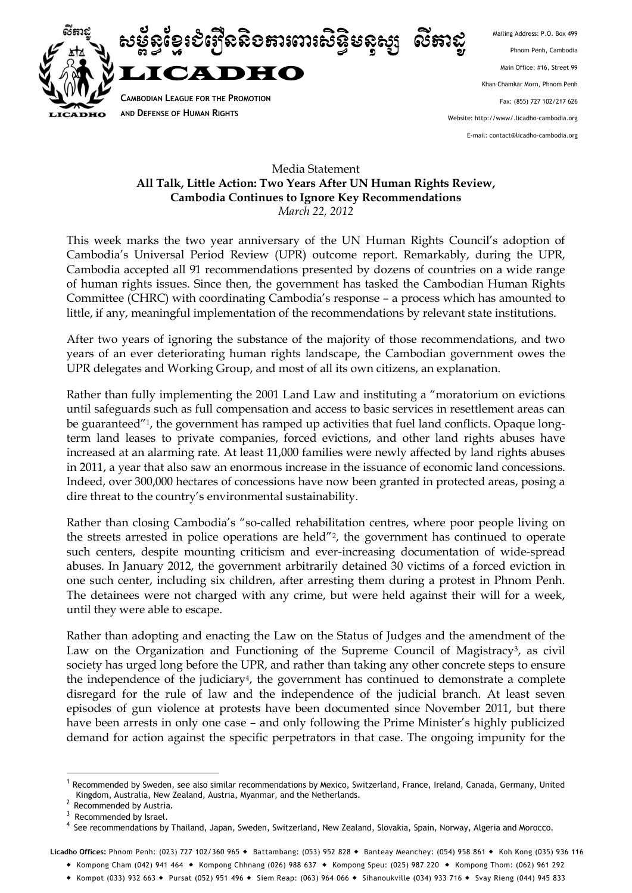

Mailing Address: P.O. Box 499 Phnom Penh, Cambodia Main Office: #16, Street 99 Khan Chamkar Morn, Phnom Penh Fax: (855) 727 102/217 626 Website: http://www/.licadho-cambodia.org E-mail: contact@licadho-cambodia.org

## Media Statement **All Talk, Little Action: Two Years After UN Human Rights Review, Cambodia Continues to Ignore Key Recommendations** *March 22, 2012*

This week marks the two year anniversary of the UN Human Rights Council's adoption of Cambodia's Universal Period Review (UPR) outcome report. Remarkably, during the UPR, Cambodia accepted all 91 recommendations presented by dozens of countries on a wide range of human rights issues. Since then, the government has tasked the Cambodian Human Rights Committee (CHRC) with coordinating Cambodia's response – a process which has amounted to little, if any, meaningful implementation of the recommendations by relevant state institutions.

After two years of ignoring the substance of the majority of those recommendations, and two years of an ever deteriorating human rights landscape, the Cambodian government owes the UPR delegates and Working Group, and most of all its own citizens, an explanation.

Rather than fully implementing the 2001 Land Law and instituting a "moratorium on evictions until safeguards such as full compensation and access to basic services in resettlement areas can be guaranteed"<sup>1</sup>, the government has ramped up activities that fuel land conflicts. Opaque longterm land leases to private companies, forced evictions, and other land rights abuses have increased at an alarming rate. At least 11,000 families were newly affected by land rights abuses in 2011, a year that also saw an enormous increase in the issuance of economic land concessions. Indeed, over 300,000 hectares of concessions have now been granted in protected areas, posing a dire threat to the country's environmental sustainability.

Rather than closing Cambodia's "so-called rehabilitation centres, where poor people living on the streets arrested in police operations are held"2, the government has continued to operate such centers, despite mounting criticism and ever-increasing documentation of wide-spread abuses. In January 2012, the government arbitrarily detained 30 victims of a forced eviction in one such center, including six children, after arresting them during a protest in Phnom Penh. The detainees were not charged with any crime, but were held against their will for a week, until they were able to escape.

Rather than adopting and enacting the Law on the Status of Judges and the amendment of the Law on the Organization and Functioning of the Supreme Council of Magistracy<sup>3</sup>, as civil society has urged long before the UPR, and rather than taking any other concrete steps to ensure the independence of the judiciary4, the government has continued to demonstrate a complete disregard for the rule of law and the independence of the judicial branch. At least seven episodes of gun violence at protests have been documented since November 2011, but there have been arrests in only one case – and only following the Prime Minister's highly publicized demand for action against the specific perpetrators in that case. The ongoing impunity for the

1

<sup>1</sup> Recommended by Sweden, see also similar recommendations by Mexico, Switzerland, France, Ireland, Canada, Germany, United Kingdom, Australia, New Zealand, Austria, Myanmar, and the Netherlands.

<sup>&</sup>lt;sup>2</sup> Recommended by Austria.

<sup>&</sup>lt;sup>3</sup> Recommended by Israel.

<sup>4</sup> See recommendations by Thailand, Japan, Sweden, Switzerland, New Zealand, Slovakia, Spain, Norway, Algeria and Morocco.

Licadho Offices: Phnom Penh: (023) 727 102/360 965 ◆ Battambang: (053) 952 828 ◆ Banteay Meanchey: (054) 958 861 ◆ Koh Kong (035) 936 116

 Kompong Cham (042) 941 464 Kompong Chhnang (026) 988 637 Kompong Speu: (025) 987 220 Kompong Thom: (062) 961 292

<sup>\*</sup> Kompot (033) 932 663 \* Pursat (052) 951 496 \* Siem Reap: (063) 964 066 \* Sihanoukville (034) 933 716 \* Svay Rieng (044) 945 833